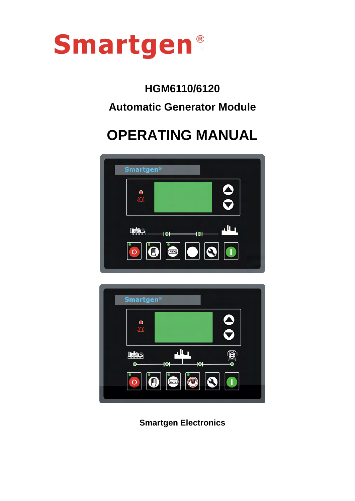# **Smartgen®**

**HGM6110/6120** 

## **Automatic Generator Module**

## **OPERATING MANUAL**





**Smartgen Electronics**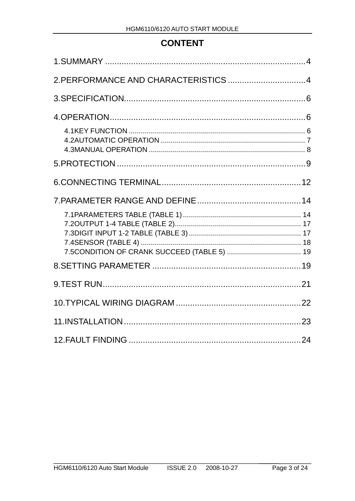## **CONTENT**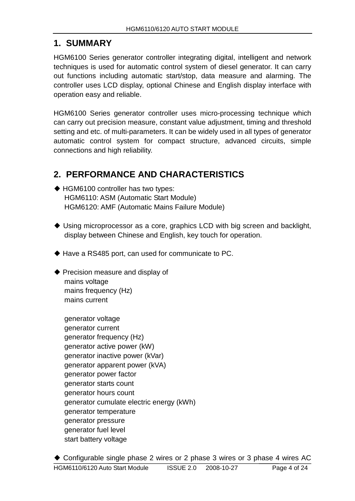## **1. SUMMARY**

HGM6100 Series generator controller integrating digital, intelligent and network techniques is used for automatic control system of diesel generator. It can carry out functions including automatic start/stop, data measure and alarming. The controller uses LCD display, optional Chinese and English display interface with operation easy and reliable.

HGM6100 Series generator controller uses micro-processing technique which can carry out precision measure, constant value adjustment, timing and threshold setting and etc. of multi-parameters. It can be widely used in all types of generator automatic control system for compact structure, advanced circuits, simple connections and high reliability.

## **2. PERFORMANCE AND CHARACTERISTICS**

- ◆ HGM6100 controller has two types: HGM6110: ASM (Automatic Start Module) HGM6120: AMF (Automatic Mains Failure Module)
- ◆ Using microprocessor as a core, graphics LCD with big screen and backlight, display between Chinese and English, key touch for operation.
- ◆ Have a RS485 port, can used for communicate to PC.
- ◆ Precision measure and display of mains voltage mains frequency (Hz) mains current

generator voltage generator current generator frequency (Hz) generator active power (kW) generator inactive power (kVar) generator apparent power (kVA) generator power factor generator starts count generator hours count generator cumulate electric energy (kWh) generator temperature generator pressure generator fuel level start battery voltage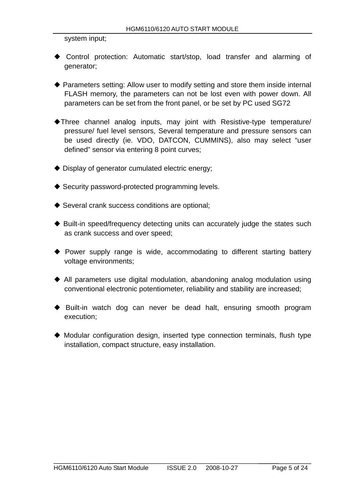system input;

- ◆ Control protection: Automatic start/stop, load transfer and alarming of generator;
- ◆ Parameters setting: Allow user to modify setting and store them inside internal FLASH memory, the parameters can not be lost even with power down. All parameters can be set from the front panel, or be set by PC used SG72
- ◆Three channel analog inputs, may joint with Resistive-type temperature/ pressure/ fuel level sensors, Several temperature and pressure sensors can be used directly (ie. VDO, DATCON, CUMMINS), also may select "user defined" sensor via entering 8 point curves;
- ◆ Display of generator cumulated electric energy;
- ◆ Security password-protected programming levels.
- ◆ Several crank success conditions are optional;
- ◆ Built-in speed/frequency detecting units can accurately judge the states such as crank success and over speed;
- ◆ Power supply range is wide, accommodating to different starting battery voltage environments;
- ◆ All parameters use digital modulation, abandoning analog modulation using conventional electronic potentiometer, reliability and stability are increased;
- ◆ Built-in watch dog can never be dead halt, ensuring smooth program execution;
- ◆ Modular configuration design, inserted type connection terminals, flush type installation, compact structure, easy installation.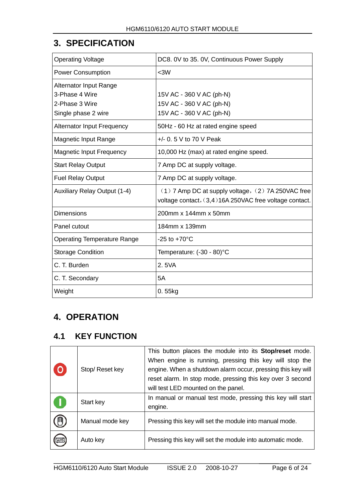## **3. SPECIFICATION**

| <b>Operating Voltage</b>           | DC8. 0V to 35. 0V, Continuous Power Supply                                                                       |
|------------------------------------|------------------------------------------------------------------------------------------------------------------|
| <b>Power Consumption</b>           | <3W                                                                                                              |
| Alternator Input Range             |                                                                                                                  |
| 3-Phase 4 Wire                     | 15V AC - 360 V AC (ph-N)                                                                                         |
| 2-Phase 3 Wire                     | 15V AC - 360 V AC (ph-N)                                                                                         |
| Single phase 2 wire                | 15V AC - 360 V AC (ph-N)                                                                                         |
| <b>Alternator Input Frequency</b>  | 50Hz - 60 Hz at rated engine speed                                                                               |
| <b>Magnetic Input Range</b>        | $+/- 0.5 V$ to 70 V Peak                                                                                         |
| <b>Magnetic Input Frequency</b>    | 10,000 Hz (max) at rated engine speed.                                                                           |
| <b>Start Relay Output</b>          | 7 Amp DC at supply voltage.                                                                                      |
| <b>Fuel Relay Output</b>           | 7 Amp DC at supply voltage.                                                                                      |
| Auxiliary Relay Output (1-4)       | $(1)$ 7 Amp DC at supply voltage, $(2)$ 7A 250VAC free<br>voltage contact, (3,4)16A 250VAC free voltage contact. |
| <b>Dimensions</b>                  | 200mm x 144mm x 50mm                                                                                             |
| Panel cutout                       | 184mm x 139mm                                                                                                    |
| <b>Operating Temperature Range</b> | $-25$ to $+70^{\circ}$ C                                                                                         |
| <b>Storage Condition</b>           | Temperature: (-30 - 80)°C                                                                                        |
| C. T. Burden                       | 2.5VA                                                                                                            |
| C. T. Secondary                    | 5A                                                                                                               |
| Weight                             | 0.55kg                                                                                                           |

## **4. OPERATION**

## **4.1 KEY FUNCTION**

|  |                                     | This button places the module into its <b>Stop/reset</b> mode. |
|--|-------------------------------------|----------------------------------------------------------------|
|  |                                     | When engine is running, pressing this key will stop the        |
|  | Stop/Reset key                      | engine. When a shutdown alarm occur, pressing this key will    |
|  |                                     | reset alarm. In stop mode, pressing this key over 3 second     |
|  | will test LED mounted on the panel. |                                                                |
|  | Start key                           | In manual or manual test mode, pressing this key will start    |
|  |                                     | engine.                                                        |
|  | Manual mode key                     | Pressing this key will set the module into manual mode.        |
|  |                                     |                                                                |
|  | Auto key                            | Pressing this key will set the module into automatic mode.     |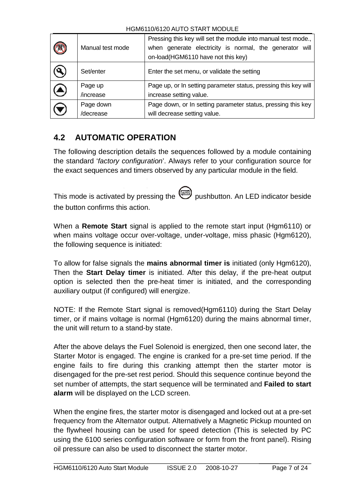| Manual test mode | Pressing this key will set the module into manual test mode.,<br>when generate electricity is normal, the generator will<br>on-load(HGM6110 have not this key) |
|------------------|----------------------------------------------------------------------------------------------------------------------------------------------------------------|
| Set/enter        | Enter the set menu, or validate the setting                                                                                                                    |
| Page up          | Page up, or In setting parameter status, pressing this key will                                                                                                |
| /increase        | increase setting value.                                                                                                                                        |
| Page down        | Page down, or In setting parameter status, pressing this key                                                                                                   |
| /decrease        | will decrease setting value.                                                                                                                                   |

## **4.2 AUTOMATIC OPERATION**

The following description details the sequences followed by a module containing the standard '*factory configuration*'. Always refer to your configuration source for the exact sequences and timers observed by any particular module in the field.

This mode is activated by pressing the pushbutton. An LED indicator beside the button confirms this action.

When a **Remote Start** signal is applied to the remote start input (Hgm6110) or when mains voltage occur over-voltage, under-voltage, miss phasic (Hgm6120), the following sequence is initiated:

To allow for false signals the **mains abnormal timer is** initiated (only Hgm6120), Then the **Start Delay timer** is initiated. After this delay, if the pre-heat output option is selected then the pre-heat timer is initiated, and the corresponding auxiliary output (if configured) will energize.

NOTE: If the Remote Start signal is removed (Hgm6110) during the Start Delay timer, or if mains voltage is normal (Hgm6120) during the mains abnormal timer, the unit will return to a stand-by state.

After the above delays the Fuel Solenoid is energized, then one second later, the Starter Motor is engaged. The engine is cranked for a pre-set time period. If the engine fails to fire during this cranking attempt then the starter motor is disengaged for the pre-set rest period. Should this sequence continue beyond the set number of attempts, the start sequence will be terminated and **Failed to start alarm** will be displayed on the LCD screen.

When the engine fires, the starter motor is disengaged and locked out at a pre-set frequency from the Alternator output. Alternatively a Magnetic Pickup mounted on the flywheel housing can be used for speed detection (This is selected by PC using the 6100 series configuration software or form from the front panel). Rising oil pressure can also be used to disconnect the starter motor.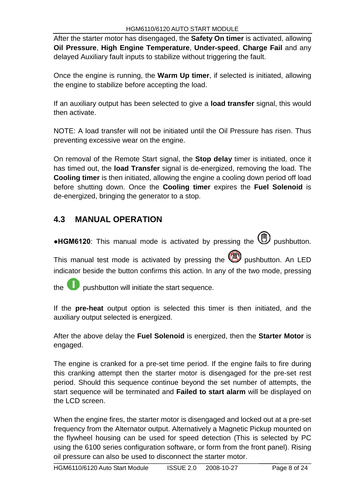After the starter motor has disengaged, the **Safety On timer** is activated, allowing **Oil Pressure**, **High Engine Temperature**, **Under-speed**, **Charge Fail** and any delayed Auxiliary fault inputs to stabilize without triggering the fault.

Once the engine is running, the **Warm Up timer**, if selected is initiated, allowing the engine to stabilize before accepting the load.

If an auxiliary output has been selected to give a **load transfer** signal, this would then activate.

NOTE: A load transfer will not be initiated until the Oil Pressure has risen. Thus preventing excessive wear on the engine.

On removal of the Remote Start signal, the **Stop delay** timer is initiated, once it has timed out, the **load Transfer** signal is de-energized, removing the load. The **Cooling timer** is then initiated, allowing the engine a cooling down period off load before shutting down. Once the **Cooling timer** expires the **Fuel Solenoid** is de-energized, bringing the generator to a stop.

## **4.3 MANUAL OPERATION**

•HGM6120: This manual mode is activated by pressing the **@** pushbutton.

This manual test mode is activated by pressing the  $\bigcirc$  pushbutton. An LED indicator beside the button confirms this action. In any of the two mode, pressing

the pushbutton will initiate the start sequence.

If the **pre-heat** output option is selected this timer is then initiated, and the auxiliary output selected is energized.

After the above delay the **Fuel Solenoid** is energized, then the **Starter Motor** is engaged.

The engine is cranked for a pre-set time period. If the engine fails to fire during this cranking attempt then the starter motor is disengaged for the pre-set rest period. Should this sequence continue beyond the set number of attempts, the start sequence will be terminated and **Failed to start alarm** will be displayed on the LCD screen.

When the engine fires, the starter motor is disengaged and locked out at a pre-set frequency from the Alternator output. Alternatively a Magnetic Pickup mounted on the flywheel housing can be used for speed detection (This is selected by PC using the 6100 series configuration software, or form from the front panel). Rising oil pressure can also be used to disconnect the starter motor.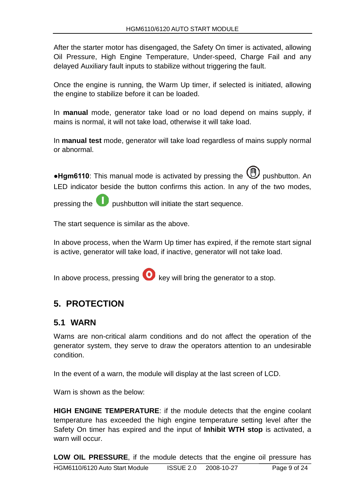After the starter motor has disengaged, the Safety On timer is activated, allowing Oil Pressure, High Engine Temperature, Under-speed, Charge Fail and any delayed Auxiliary fault inputs to stabilize without triggering the fault.

Once the engine is running, the Warm Up timer, if selected is initiated, allowing the engine to stabilize before it can be loaded.

In **manual** mode, generator take load or no load depend on mains supply, if mains is normal, it will not take load, otherwise it will take load.

In **manual test** mode, generator will take load regardless of mains supply normal or abnormal.

●Hgm6110: This manual mode is activated by pressing the **①** pushbutton. An LED indicator beside the button confirms this action. In any of the two modes,

pressing the pushbutton will initiate the start sequence.

The start sequence is similar as the above.

In above process, when the Warm Up timer has expired, if the remote start signal is active, generator will take load, if inactive, generator will not take load.

In above process, pressing  $\bullet$  key will bring the generator to a stop.

## **5. PROTECTION**

#### **5.1 WARN**

Warns are non-critical alarm conditions and do not affect the operation of the generator system, they serve to draw the operators attention to an undesirable condition.

In the event of a warn, the module will display at the last screen of LCD.

Warn is shown as the below:

**HIGH ENGINE TEMPERATURE**: if the module detects that the engine coolant temperature has exceeded the high engine temperature setting level after the Safety On timer has expired and the input of **Inhibit WTH stop** is activated, a warn will occur.

**LOW OIL PRESSURE**, if the module detects that the engine oil pressure has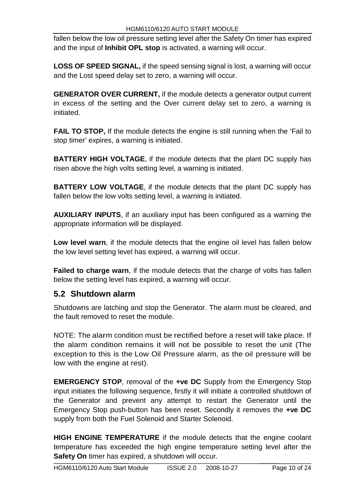fallen below the low oil pressure setting level after the Safety On timer has expired and the input of **Inhibit OPL stop** is activated, a warning will occur.

**LOSS OF SPEED SIGNAL,** if the speed sensing signal is lost, a warning will occur and the Lost speed delay set to zero, a warning will occur.

**GENERATOR OVER CURRENT,** if the module detects a generator output current in excess of the setting and the Over current delay set to zero, a warning is initiated.

**FAIL TO STOP,** If the module detects the engine is still running when the 'Fail to stop timer' expires, a warning is initiated.

**BATTERY HIGH VOLTAGE**, if the module detects that the plant DC supply has risen above the high volts setting level, a warning is initiated.

**BATTERY LOW VOLTAGE**, if the module detects that the plant DC supply has fallen below the low volts setting level, a warning is initiated.

**AUXILIARY INPUTS**, if an auxiliary input has been configured as a warning the appropriate information will be displayed.

**Low level warn**, if the module detects that the engine oil level has fallen below the low level setting level has expired, a warning will occur.

**Failed to charge warn**, if the module detects that the charge of volts has fallen below the setting level has expired, a warning will occur.

## **5.2 Shutdown alarm**

Shutdowns are latching and stop the Generator. The alarm must be cleared, and the fault removed to reset the module.

NOTE: The alarm condition must be rectified before a reset will take place. If the alarm condition remains it will not be possible to reset the unit (The exception to this is the Low Oil Pressure alarm, as the oil pressure will be low with the engine at rest).

**EMERGENCY STOP**, removal of the **+ve DC** Supply from the Emergency Stop input initiates the following sequence, firstly it will initiate a controlled shutdown of the Generator and prevent any attempt to restart the Generator until the Emergency Stop push-button has been reset. Secondly it removes the **+ve DC**  supply from both the Fuel Solenoid and Starter Solenoid.

**HIGH ENGINE TEMPERATURE** if the module detects that the engine coolant temperature has exceeded the high engine temperature setting level after the **Safety On** timer has expired, a shutdown will occur.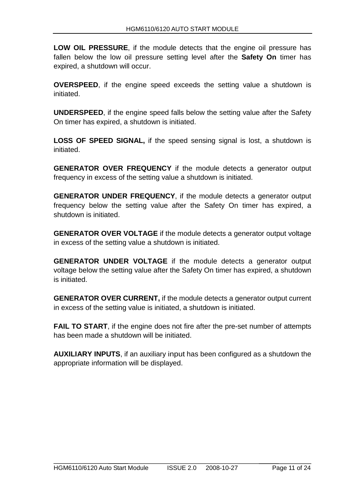**LOW OIL PRESSURE**, if the module detects that the engine oil pressure has fallen below the low oil pressure setting level after the **Safety On** timer has expired, a shutdown will occur.

**OVERSPEED,** if the engine speed exceeds the setting value a shutdown is initiated.

**UNDERSPEED**, if the engine speed falls below the setting value after the Safety On timer has expired, a shutdown is initiated.

**LOSS OF SPEED SIGNAL,** if the speed sensing signal is lost, a shutdown is initiated.

**GENERATOR OVER FREQUENCY** if the module detects a generator output frequency in excess of the setting value a shutdown is initiated.

**GENERATOR UNDER FREQUENCY**, if the module detects a generator output frequency below the setting value after the Safety On timer has expired, a shutdown is initiated.

**GENERATOR OVER VOLTAGE** if the module detects a generator output voltage in excess of the setting value a shutdown is initiated.

**GENERATOR UNDER VOLTAGE** if the module detects a generator output voltage below the setting value after the Safety On timer has expired, a shutdown is initiated.

**GENERATOR OVER CURRENT,** if the module detects a generator output current in excess of the setting value is initiated, a shutdown is initiated.

**FAIL TO START**, if the engine does not fire after the pre-set number of attempts has been made a shutdown will be initiated.

**AUXILIARY INPUTS**, if an auxiliary input has been configured as a shutdown the appropriate information will be displayed.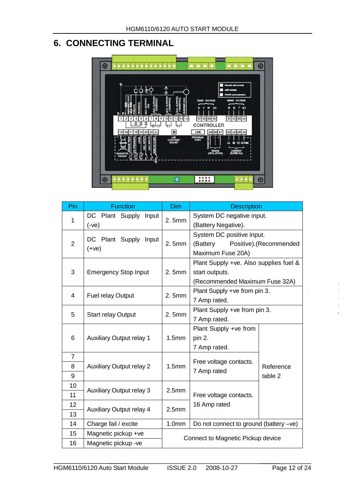## **6. CONNECTING TERMINAL**



| Pin                      | <b>Function</b>                     | Dim               | <b>Description</b>                                                                         |  |
|--------------------------|-------------------------------------|-------------------|--------------------------------------------------------------------------------------------|--|
| $\mathbf{1}$             | DC Plant Supply<br>Input<br>$(-ve)$ | 2.5mm             | System DC negative input.<br>(Battery Negative).                                           |  |
| $\overline{2}$           | DC Plant Supply<br>Input<br>$(+ve)$ | 2.5mm             | System DC positive input.<br>(Battery Positive). (Recommended<br>Maximum Fuse 20A)         |  |
| 3                        | <b>Emergency Stop Input</b>         | 2.5mm             | Plant Supply +ve. Also supplies fuel &<br>start outputs.<br>(Recommended Maximum Fuse 32A) |  |
| 4                        | Fuel relay Output                   | 2.5mm             | Plant Supply +ve from pin 3.<br>7 Amp rated.                                               |  |
| 5                        | <b>Start relay Output</b>           | 2.5mm             | Plant Supply +ve from pin 3.<br>7 Amp rated.                                               |  |
| 6                        | <b>Auxiliary Output relay 1</b>     | 1.5mm             | Plant Supply +ve from<br>pin 2.<br>7 Amp rated.                                            |  |
| $\overline{7}$<br>8<br>9 | <b>Auxiliary Output relay 2</b>     | 1.5mm             | Free voltage contacts.<br>Reference<br>7 Amp rated<br>table 2                              |  |
| 10<br>11                 | <b>Auxiliary Output relay 3</b>     | 2.5 <sub>mm</sub> | Free voltage contacts.                                                                     |  |
| 12<br>13                 | <b>Auxiliary Output relay 4</b>     | 2.5 <sub>mm</sub> | 16 Amp rated                                                                               |  |
| 14                       | Charge fail / excite                | 1.0 <sub>mm</sub> | Do not connect to ground (battery -ve)                                                     |  |
| 15                       | Magnetic pickup +ve                 |                   | Connect to Magnetic Pickup device                                                          |  |
| 16                       | Magnetic pickup -ve                 |                   |                                                                                            |  |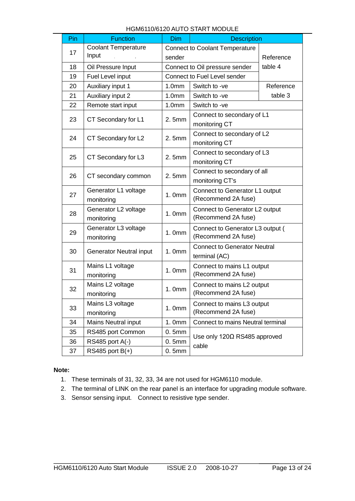| Pin | <b>Function</b>                | <b>Dim</b><br><b>Description</b>      |                                                |           |
|-----|--------------------------------|---------------------------------------|------------------------------------------------|-----------|
| 17  | <b>Coolant Temperature</b>     | <b>Connect to Coolant Temperature</b> |                                                |           |
|     | Input                          | sender                                |                                                |           |
| 18  | Oil Pressure Input             |                                       | Connect to Oil pressure sender                 | table 4   |
| 19  | Fuel Level input               |                                       | Connect to Fuel Level sender                   |           |
| 20  | Auxiliary input 1              | 1.0 <sub>mm</sub>                     | Switch to -ve                                  | Reference |
| 21  | Auxiliary input 2              | 1.0 <sub>mm</sub>                     | Switch to -ve                                  | table 3   |
| 22  | Remote start input             | 1.0 <sub>mm</sub>                     | Switch to -ve                                  |           |
| 23  | CT Secondary for L1            | 2.5mm                                 | Connect to secondary of L1                     |           |
|     |                                |                                       | monitoring CT                                  |           |
| 24  | CT Secondary for L2            | 2.5mm                                 | Connect to secondary of L2                     |           |
|     |                                |                                       | monitoring CT                                  |           |
| 25  | CT Secondary for L3            | 2.5mm                                 | Connect to secondary of L3                     |           |
|     |                                |                                       | monitoring CT                                  |           |
| 26  | CT secondary common            | 2.5mm                                 | Connect to secondary of all<br>monitoring CT's |           |
|     | Generator L1 voltage           | Connect to Generator L1 output        |                                                |           |
| 27  | monitoring                     | 1.0mm                                 | (Recommend 2A fuse)                            |           |
|     | Generator L2 voltage           |                                       | Connect to Generator L2 output                 |           |
| 28  | monitoring                     | 1.0mm                                 | (Recommend 2A fuse)                            |           |
| 29  | Generator L3 voltage           | 1.0mm                                 | Connect to Generator L3 output (               |           |
|     | monitoring                     |                                       | (Recommend 2A fuse)                            |           |
| 30  | <b>Generator Neutral input</b> | 1.0mm                                 | <b>Connect to Generator Neutral</b>            |           |
|     |                                |                                       | terminal (AC)                                  |           |
| 31  | Mains L1 voltage               | 1.0mm                                 | Connect to mains L1 output                     |           |
|     | monitoring                     |                                       | (Recommend 2A fuse)                            |           |
| 32  | Mains L2 voltage               | 1.0mm                                 | Connect to mains L2 output                     |           |
|     | monitoring                     |                                       | (Recommend 2A fuse)                            |           |
| 33  | Mains L3 voltage               | 1.0mm                                 | Connect to mains L3 output                     |           |
|     | monitoring                     |                                       | (Recommend 2A fuse)                            |           |
| 34  | <b>Mains Neutral input</b>     | 1.0mm                                 | Connect to mains Neutral terminal              |           |
| 35  | RS485 port Common              | 0.5mm                                 | Use only 120Ω RS485 approved                   |           |
| 36  | $RS485$ port $A(-)$            | 0.5mm                                 | cable                                          |           |
| 37  | $RS485$ port $B(+)$            | 0.5mm                                 |                                                |           |

#### **Note:**

- 1. These terminals of 31, 32, 33, 34 are not used for HGM6110 module.
- 2. The terminal of LINK on the rear panel is an interface for upgrading module software.
- 3. Sensor sensing input. Connect to resistive type sender.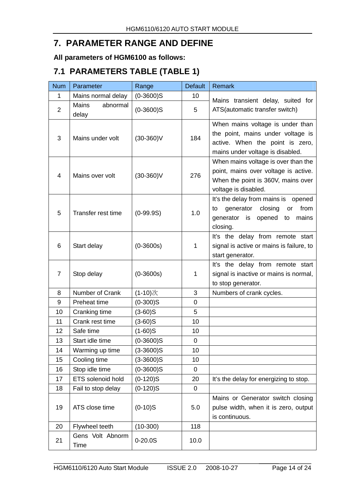## **7. PARAMETER RANGE AND DEFINE**

**All parameters of HGM6100 as follows:** 

## **7.1 PARAMETERS TABLE (TABLE 1)**

| <b>Num</b>     | Parameter                  | Range          | <b>Default</b> | Remark                                                                                                                                       |
|----------------|----------------------------|----------------|----------------|----------------------------------------------------------------------------------------------------------------------------------------------|
| 1              | Mains normal delay         | $(0-3600)$ S   | 10             | Mains transient delay, suited for                                                                                                            |
| $\overline{2}$ | Mains<br>abnormal<br>delay | $(0-3600)$ S   | 5              | ATS(automatic transfer switch)                                                                                                               |
| 3              | Mains under volt           | $(30-360)V$    | 184            | When mains voltage is under than<br>the point, mains under voltage is<br>active. When the point is zero,<br>mains under voltage is disabled. |
| 4              | Mains over volt            | $(30-360)V$    | 276            | When mains voltage is over than the<br>point, mains over voltage is active.<br>When the point is 360V, mains over<br>voltage is disabled.    |
| 5              | Transfer rest time         | $(0-99.9S)$    | 1.0            | It's the delay from mains is opened<br>closing<br>from<br>generator<br>or<br>to<br>opened<br>generator is<br>mains<br>to<br>closing.         |
| 6              | Start delay                | $(0-3600s)$    | 1              | It's the delay from remote start<br>signal is active or mains is failure, to<br>start generator.                                             |
| $\overline{7}$ | Stop delay                 | $(0-3600s)$    | 1              | It's the delay from remote start<br>signal is inactive or mains is normal,<br>to stop generator.                                             |
| 8              | Number of Crank            | (1-10)次        | 3              | Numbers of crank cycles.                                                                                                                     |
| 9              | Preheat time               | $(0-300)S$     | 0              |                                                                                                                                              |
| 10             | Cranking time              | $(3-60)$ S     | 5              |                                                                                                                                              |
| 11             | Crank rest time            | $(3-60)$ S     | 10             |                                                                                                                                              |
| 12             | Safe time                  | $(1-60)$ S     | 10             |                                                                                                                                              |
| 13             | Start idle time            | $(0-3600)$ S   | 0              |                                                                                                                                              |
| 14             | Warming up time            | (3-3600)S      | 10             |                                                                                                                                              |
| 15             | Cooling time               | $(3 - 3600)$ S | 10             |                                                                                                                                              |
| 16             | Stop idle time             | $(0-3600)$ S   | $\mathbf 0$    |                                                                                                                                              |
| 17             | ETS solenoid hold          | $(0-120)$ S    | 20             | It's the delay for energizing to stop.                                                                                                       |
| 18             | Fail to stop delay         | $(0-120)$ S    | 0              |                                                                                                                                              |
| 19             | ATS close time             | $(0-10)S$      | 5.0            | Mains or Generator switch closing<br>pulse width, when it is zero, output<br>is continuous.                                                  |
| 20             | Flywheel teeth             | $(10-300)$     | 118            |                                                                                                                                              |
| 21             | Gens Volt Abnorm<br>Time   | $0 - 20.0S$    | 10.0           |                                                                                                                                              |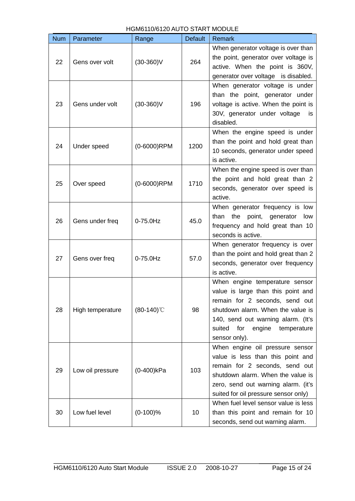| <b>Num</b> | Parameter        | Range         | <b>Default</b> | <b>Remark</b>                                                                                                                                                                                                                                |
|------------|------------------|---------------|----------------|----------------------------------------------------------------------------------------------------------------------------------------------------------------------------------------------------------------------------------------------|
| 22         | Gens over volt   | $(30-360)V$   | 264            | When generator voltage is over than<br>the point, generator over voltage is<br>active. When the point is 360V,<br>generator over voltage is disabled.                                                                                        |
| 23         | Gens under volt  | $(30-360)V$   | 196            | When generator voltage is under<br>than the point, generator under<br>voltage is active. When the point is<br>30V, generator under voltage<br>is<br>disabled.                                                                                |
| 24         | Under speed      | (0-6000)RPM   | 1200           | When the engine speed is under<br>than the point and hold great than<br>10 seconds, generator under speed<br>is active.                                                                                                                      |
| 25         | Over speed       | (0-6000)RPM   | 1710           | When the engine speed is over than<br>the point and hold great than 2<br>seconds, generator over speed is<br>active.                                                                                                                         |
| 26         | Gens under freq  | 0-75.0Hz      | 45.0           | When generator frequency is low<br>point, generator<br>than the<br>low<br>frequency and hold great than 10<br>seconds is active.                                                                                                             |
| 27         | Gens over freq   | 0-75.0Hz      | 57.0           | When generator frequency is over<br>than the point and hold great than 2<br>seconds, generator over frequency<br>is active.                                                                                                                  |
| 28         | High temperature | $(80-140)$ °C | 98             | When engine temperature sensor<br>value is large than this point and<br>remain for 2 seconds, send out<br>shutdown alarm. When the value is<br>140, send out warning alarm. (It's<br>suited<br>for<br>engine<br>temperature<br>sensor only). |
| 29         | Low oil pressure | (0-400)kPa    | 103            | When engine oil pressure sensor<br>value is less than this point and<br>remain for 2 seconds, send out<br>shutdown alarm. When the value is<br>zero, send out warning alarm. (it's<br>suited for oil pressure sensor only)                   |
| 30         | Low fuel level   | $(0-100)\%$   | 10             | When fuel level sensor value is less<br>than this point and remain for 10<br>seconds, send out warning alarm.                                                                                                                                |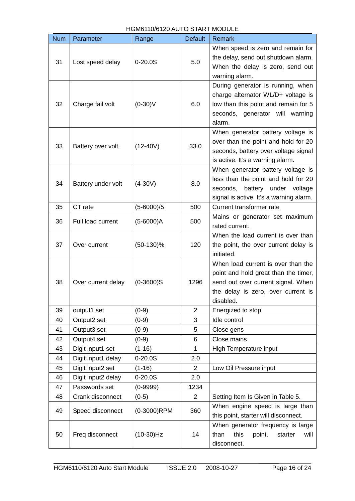| <b>Num</b> | Parameter          | Range          | <b>Default</b> | <b>Remark</b>                                                                                                                                                       |
|------------|--------------------|----------------|----------------|---------------------------------------------------------------------------------------------------------------------------------------------------------------------|
| 31         | Lost speed delay   | $0 - 20.0S$    | 5.0            | When speed is zero and remain for<br>the delay, send out shutdown alarm.<br>When the delay is zero, send out<br>warning alarm.                                      |
| 32         | Charge fail volt   | $(0-30)V$      | 6.0            | During generator is running, when<br>charge alternator WL/D+ voltage is<br>low than this point and remain for 5<br>seconds, generator will warning<br>alarm.        |
| 33         | Battery over volt  | $(12-40V)$     | 33.0           | When generator battery voltage is<br>over than the point and hold for 20<br>seconds, battery over voltage signal<br>is active. It's a warning alarm.                |
| 34         | Battery under volt | $(4-30V)$      | 8.0            | When generator battery voltage is<br>less than the point and hold for 20<br>battery under voltage<br>seconds,<br>signal is active. It's a warning alarm.            |
| 35         | CT rate            | $(5 - 6000)/5$ | 500            | Current transformer rate                                                                                                                                            |
| 36         | Full load current  | $(5-6000)A$    | 500            | Mains or generator set maximum<br>rated current.                                                                                                                    |
| 37         | Over current       | $(50-130)\%$   | 120            | When the load current is over than<br>the point, the over current delay is<br>initiated.                                                                            |
| 38         | Over current delay | $(0-3600)$ S   | 1296           | When load current is over than the<br>point and hold great than the timer,<br>send out over current signal. When<br>the delay is zero, over current is<br>disabled. |
| 39         | output1 set        | $(0-9)$        | $\overline{2}$ | Energized to stop                                                                                                                                                   |
| 40         | Output2 set        | $(0-9)$        | 3              | Idle control                                                                                                                                                        |
| 41         | Output3 set        | $(0-9)$        | 5              | Close gens                                                                                                                                                          |
| 42         | Output4 set        | $(0-9)$        | 6              | Close mains                                                                                                                                                         |
| 43         | Digit input1 set   | $(1-16)$       | 1              | High Temperature input                                                                                                                                              |
| 44         | Digit input1 delay | $0 - 20.0S$    | 2.0            |                                                                                                                                                                     |
| 45         | Digit input2 set   | $(1-16)$       | $\overline{2}$ | Low Oil Pressure input                                                                                                                                              |
| 46         | Digit input2 delay | $0 - 20.0S$    | 2.0            |                                                                                                                                                                     |
| 47         | Passwords set      | $(0-9999)$     | 1234           |                                                                                                                                                                     |
| 48         | Crank disconnect   | $(0-5)$        | $\overline{2}$ | Setting Item Is Given in Table 5.                                                                                                                                   |
| 49         | Speed disconnect   | (0-3000)RPM    | 360            | When engine speed is large than<br>this point, starter will disconnect.                                                                                             |
| 50         | Freq disconnect    | $(10-30)Hz$    | 14             | When generator frequency is large<br>this<br>point,<br>than<br>starter<br>will<br>disconnect.                                                                       |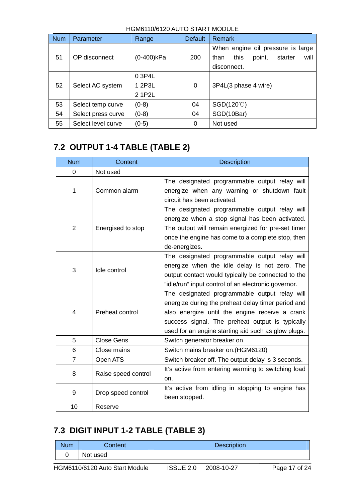| <b>Num</b> | Parameter          | Range                          | <b>Default</b> | Remark                                                                                        |
|------------|--------------------|--------------------------------|----------------|-----------------------------------------------------------------------------------------------|
| 51         | OP disconnect      | (0-400)kPa                     | 200            | When engine oil pressure is large<br>this<br>will<br>than<br>point,<br>starter<br>disconnect. |
| 52         | Select AC system   | 0 3 P4 L<br>1 2P3L<br>2 1 P2 L | 0              | 3P4L(3 phase 4 wire)                                                                          |
| 53         | Select temp curve  | $(0-8)$                        | 04             | SGD(120℃)                                                                                     |
| 54         | Select press curve | $(0-8)$                        | 04             | SGD(10Bar)                                                                                    |
| 55         | Select level curve | $(0-5)$                        | 0              | Not used                                                                                      |

## **7.2 OUTPUT 1-4 TABLE (TABLE 2)**

| <b>Num</b>     | Content             | <b>Description</b>                                                                                                                                                                                                                                              |  |  |
|----------------|---------------------|-----------------------------------------------------------------------------------------------------------------------------------------------------------------------------------------------------------------------------------------------------------------|--|--|
| 0              | Not used            |                                                                                                                                                                                                                                                                 |  |  |
| 1              | Common alarm        | The designated programmable output relay will<br>energize when any warning or shutdown fault<br>circuit has been activated.                                                                                                                                     |  |  |
| $\overline{2}$ | Energised to stop   | The designated programmable output relay will<br>energize when a stop signal has been activated.<br>The output will remain energized for pre-set timer<br>once the engine has come to a complete stop, then<br>de-energizes.                                    |  |  |
| 3              | Idle control        | The designated programmable output relay will<br>energize when the idle delay is not zero. The<br>output contact would typically be connected to the<br>"idle/run" input control of an electronic governor.                                                     |  |  |
| 4              | Preheat control     | The designated programmable output relay will<br>energize during the preheat delay timer period and<br>also energize until the engine receive a crank<br>success signal. The preheat output is typically<br>used for an engine starting aid such as glow plugs. |  |  |
| 5              | <b>Close Gens</b>   | Switch generator breaker on.                                                                                                                                                                                                                                    |  |  |
| 6              | Close mains         | Switch mains breaker on. (HGM6120)                                                                                                                                                                                                                              |  |  |
| $\overline{7}$ | Open ATS            | Switch breaker off. The output delay is 3 seconds.                                                                                                                                                                                                              |  |  |
| 8              | Raise speed control | It's active from entering warming to switching load<br>on.                                                                                                                                                                                                      |  |  |
| 9              | Drop speed control  | It's active from idling in stopping to engine has<br>been stopped.                                                                                                                                                                                              |  |  |
| 10             | Reserve             |                                                                                                                                                                                                                                                                 |  |  |

## **7.3 DIGIT INPUT 1-2 TABLE (TABLE 3)**

| <b>Num</b> | Content  | Description |
|------------|----------|-------------|
|            | Not used |             |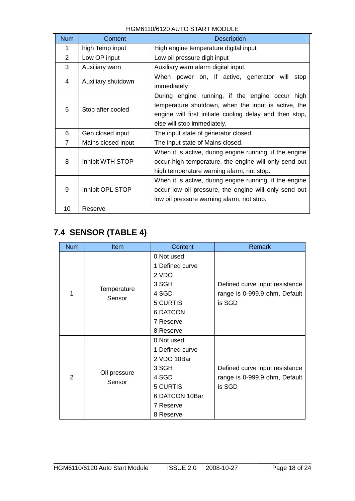| <b>Num</b>     | Content            | <b>Description</b>                                                                                                                                                                               |  |
|----------------|--------------------|--------------------------------------------------------------------------------------------------------------------------------------------------------------------------------------------------|--|
| 1              | high Temp input    | High engine temperature digital input                                                                                                                                                            |  |
| 2              | Low OP input       | Low oil pressure digit input                                                                                                                                                                     |  |
| 3              | Auxiliary warn     | Auxiliary warn alarm digital input.                                                                                                                                                              |  |
| 4              | Auxiliary shutdown | When power on, if active, generator will<br>stop<br>immediately.                                                                                                                                 |  |
| 5              | Stop after cooled  | During engine running, if the engine occur high<br>temperature shutdown, when the input is active, the<br>engine will first initiate cooling delay and then stop,<br>else will stop immediately. |  |
| 6              | Gen closed input   | The input state of generator closed.                                                                                                                                                             |  |
| $\overline{7}$ | Mains closed input | The input state of Mains closed.                                                                                                                                                                 |  |
| 8              | Inhibit WTH STOP   | When it is active, during engine running, if the engine<br>occur high temperature, the engine will only send out<br>high temperature warning alarm, not stop.                                    |  |
| 9              | Inhibit OPL STOP   | When it is active, during engine running, if the engine<br>occur low oil pressure, the engine will only send out<br>low oil pressure warning alarm, not stop.                                    |  |
| 10             | Reserve            |                                                                                                                                                                                                  |  |

## **7.4 SENSOR (TABLE 4)**

| <b>Num</b> | Item                   | Content         | <b>Remark</b>                  |
|------------|------------------------|-----------------|--------------------------------|
|            | Temperature<br>Sensor  | 0 Not used      |                                |
|            |                        | 1 Defined curve |                                |
|            |                        | 2 VDO           |                                |
|            |                        | 3 SGH           | Defined curve input resistance |
|            |                        | 4 SGD           | range is 0-999.9 ohm, Default  |
|            |                        | 5 CURTIS        | is SGD                         |
|            |                        | <b>6 DATCON</b> |                                |
|            |                        | 7 Reserve       |                                |
|            |                        | 8 Reserve       |                                |
|            | Oil pressure<br>Sensor | 0 Not used      |                                |
|            |                        | 1 Defined curve |                                |
|            |                        | 2 VDO 10Bar     |                                |
|            |                        | 3 SGH           | Defined curve input resistance |
| 2          |                        | 4 SGD           | range is 0-999.9 ohm, Default  |
|            |                        | <b>5 CURTIS</b> | is SGD                         |
|            |                        | 6 DATCON 10Bar  |                                |
|            |                        | 7 Reserve       |                                |
|            |                        | 8 Reserve       |                                |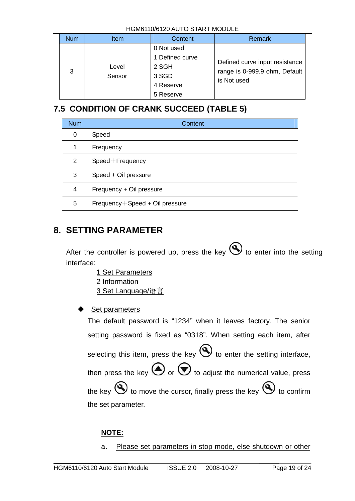| <b>Num</b> | <b>Item</b>     | Content                                                                   | <b>Remark</b>                                                                  |
|------------|-----------------|---------------------------------------------------------------------------|--------------------------------------------------------------------------------|
| 3          | Level<br>Sensor | 0 Not used<br>1 Defined curve<br>2 SGH<br>3 SGD<br>4 Reserve<br>5 Reserve | Defined curve input resistance<br>range is 0-999.9 ohm, Default<br>is Not used |

## **7.5 CONDITION OF CRANK SUCCEED (TABLE 5)**

| <b>Num</b>     | <b>Content</b>                 |
|----------------|--------------------------------|
| 0              | Speed                          |
| 1              | Frequency                      |
| $\overline{2}$ | $Speed + Frequency$            |
| 3              | Speed + Oil pressure           |
| 4              | Frequency + Oil pressure       |
| 5              | Frequency+Speed + Oil pressure |

## **8. SETTING PARAMETER**

After the controller is powered up, press the key  $\bigotimes$  to enter into the setting interface:

> 1 Set Parameters 2 Information 3 Set Language/语言

Set parameters

The default password is "1234" when it leaves factory. The senior setting password is fixed as "0318". When setting each item, after selecting this item, press the key  $\bigotimes$  to enter the setting interface, then press the key  $\bigodot$  or  $\bigodot$  to adjust the numerical value, press the key  $\bigcircled{S}$  to move the cursor, finally press the key  $\bigcircled{S}$  to confirm the set parameter.

#### **NOTE:**

a. Please set parameters in stop mode, else shutdown or other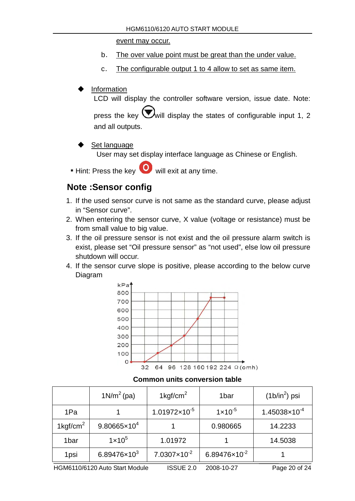event may occur.

- b. The over value point must be great than the under value.
- c. The configurable output 1 to 4 allow to set as same item.

#### **Information**

LCD will display the controller software version, issue date. Note:

press the key  $\bigtriangledown$  will display the states of configurable input 1, 2 and all outputs.

- Set language User may set display interface language as Chinese or English.
- ﹡Hint: Press the key will exit at any time.

## **Note :Sensor config**

- 1. If the used sensor curve is not same as the standard curve, please adjust in "Sensor curve".
- 2. When entering the sensor curve, X value (voltage or resistance) must be from small value to big value.
- 3. If the oil pressure sensor is not exist and the oil pressure alarm switch is exist, please set "Oil pressure sensor" as "not used", else low oil pressure shutdown will occur.
- 4. If the sensor curve slope is positive, please according to the below curve Diagram



#### **Common units conversion table**

|             | $1N/m2$ (pa)            | 1 $kgf/cm2$             | 1bar                     | $(1b/in2)$ psi         |
|-------------|-------------------------|-------------------------|--------------------------|------------------------|
| 1Pa         |                         | $1.01972\times10^{-5}$  | $1 \times 10^{-5}$       | $1.45038\times10^{-4}$ |
| 1 $kgf/cm2$ | $9.80665 \times 10^4$   |                         | 0.980665                 | 14.2233                |
| 1bar        | $1 \times 10^5$         | 1.01972                 |                          | 14.5038                |
| 1psi        | $6.89476 \times 10^{3}$ | $7.0307 \times 10^{-2}$ | $6.89476 \times 10^{-2}$ |                        |
|             |                         |                         |                          |                        |

HGM6110/6120 Auto Start Module ISSUE 2.0 2008-10-27 Page 20 of 24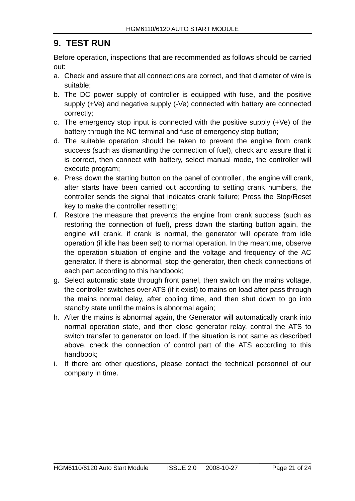## **9. TEST RUN**

Before operation, inspections that are recommended as follows should be carried out:

- a. Check and assure that all connections are correct, and that diameter of wire is suitable;
- b. The DC power supply of controller is equipped with fuse, and the positive supply (+Ve) and negative supply (-Ve) connected with battery are connected correctly;
- c. The emergency stop input is connected with the positive supply (+Ve) of the battery through the NC terminal and fuse of emergency stop button;
- d. The suitable operation should be taken to prevent the engine from crank success (such as dismantling the connection of fuel), check and assure that it is correct, then connect with battery, select manual mode, the controller will execute program;
- e. Press down the starting button on the panel of controller , the engine will crank, after starts have been carried out according to setting crank numbers, the controller sends the signal that indicates crank failure; Press the Stop/Reset key to make the controller resetting;
- f. Restore the measure that prevents the engine from crank success (such as restoring the connection of fuel), press down the starting button again, the engine will crank, if crank is normal, the generator will operate from idle operation (if idle has been set) to normal operation. In the meantime, observe the operation situation of engine and the voltage and frequency of the AC generator. If there is abnormal, stop the generator, then check connections of each part according to this handbook;
- g. Select automatic state through front panel, then switch on the mains voltage, the controller switches over ATS (if it exist) to mains on load after pass through the mains normal delay, after cooling time, and then shut down to go into standby state until the mains is abnormal again;
- h. After the mains is abnormal again, the Generator will automatically crank into normal operation state, and then close generator relay, control the ATS to switch transfer to generator on load. If the situation is not same as described above, check the connection of control part of the ATS according to this handbook;
- i. If there are other questions, please contact the technical personnel of our company in time.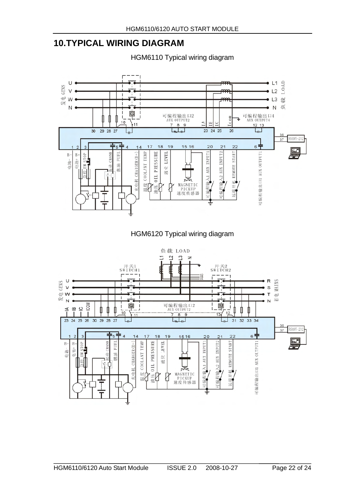## **10. TYPICAL WIRING DIAGRAM**

HGM6110 Typical wiring diagram



## HGM6120 Typical wiring diagram

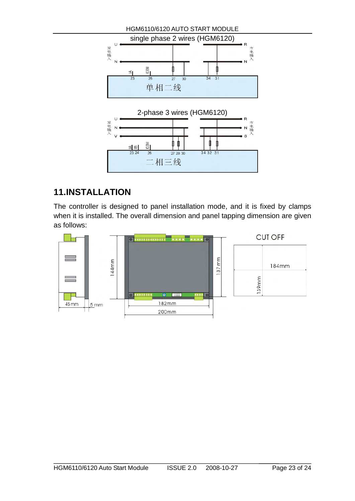

## **11. INSTALLATION**

The controller is designed to panel installation mode, and it is fixed by clamps when it is installed. The overall dimension and panel tapping dimension are given as follows: